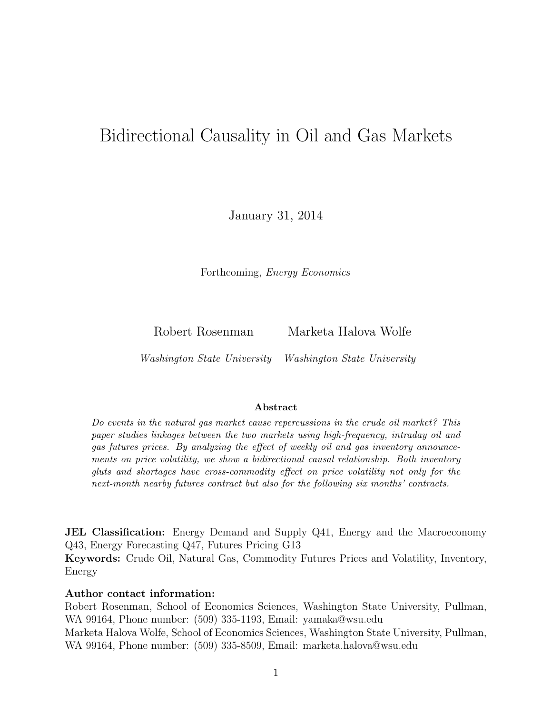# Bidirectional Causality in Oil and Gas Markets

January 31, 2014

Forthcoming, Energy Economics

Robert Rosenman Marketa Halova Wolfe

Washington State University Washington State University

#### Abstract

Do events in the natural gas market cause repercussions in the crude oil market? This paper studies linkages between the two markets using high-frequency, intraday oil and gas futures prices. By analyzing the effect of weekly oil and gas inventory announcements on price volatility, we show a bidirectional causal relationship. Both inventory gluts and shortages have cross-commodity effect on price volatility not only for the next-month nearby futures contract but also for the following six months' contracts.

**JEL Classification:** Energy Demand and Supply Q41, Energy and the Macroeconomy Q43, Energy Forecasting Q47, Futures Pricing G13

Keywords: Crude Oil, Natural Gas, Commodity Futures Prices and Volatility, Inventory, Energy

#### Author contact information:

Robert Rosenman, School of Economics Sciences, Washington State University, Pullman, WA 99164, Phone number: (509) 335-1193, Email: yamaka@wsu.edu Marketa Halova Wolfe, School of Economics Sciences, Washington State University, Pullman, WA 99164, Phone number: (509) 335-8509, Email: marketa.halova@wsu.edu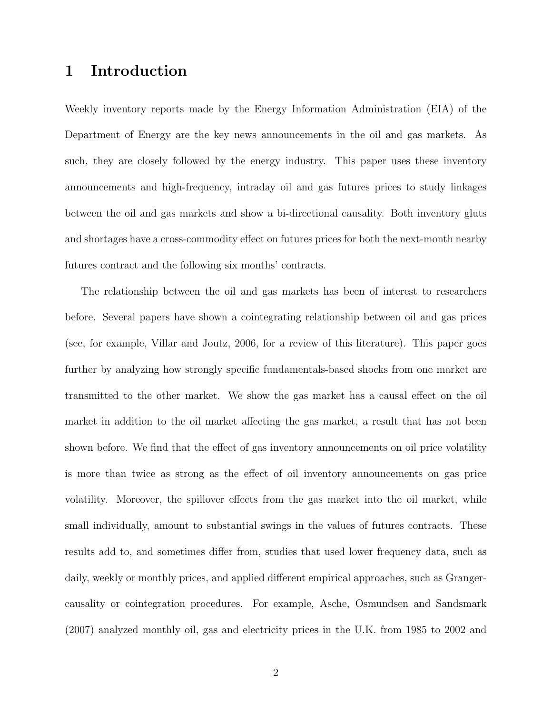# 1 Introduction

Weekly inventory reports made by the Energy Information Administration (EIA) of the Department of Energy are the key news announcements in the oil and gas markets. As such, they are closely followed by the energy industry. This paper uses these inventory announcements and high-frequency, intraday oil and gas futures prices to study linkages between the oil and gas markets and show a bi-directional causality. Both inventory gluts and shortages have a cross-commodity effect on futures prices for both the next-month nearby futures contract and the following six months' contracts.

The relationship between the oil and gas markets has been of interest to researchers before. Several papers have shown a cointegrating relationship between oil and gas prices (see, for example, Villar and Joutz, 2006, for a review of this literature). This paper goes further by analyzing how strongly specific fundamentals-based shocks from one market are transmitted to the other market. We show the gas market has a causal effect on the oil market in addition to the oil market affecting the gas market, a result that has not been shown before. We find that the effect of gas inventory announcements on oil price volatility is more than twice as strong as the effect of oil inventory announcements on gas price volatility. Moreover, the spillover effects from the gas market into the oil market, while small individually, amount to substantial swings in the values of futures contracts. These results add to, and sometimes differ from, studies that used lower frequency data, such as daily, weekly or monthly prices, and applied different empirical approaches, such as Grangercausality or cointegration procedures. For example, Asche, Osmundsen and Sandsmark (2007) analyzed monthly oil, gas and electricity prices in the U.K. from 1985 to 2002 and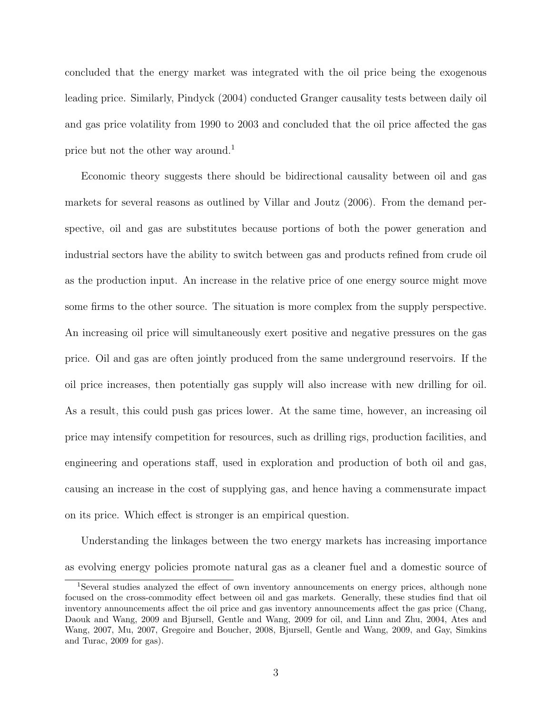concluded that the energy market was integrated with the oil price being the exogenous leading price. Similarly, Pindyck (2004) conducted Granger causality tests between daily oil and gas price volatility from 1990 to 2003 and concluded that the oil price affected the gas price but not the other way around.<sup>1</sup>

Economic theory suggests there should be bidirectional causality between oil and gas markets for several reasons as outlined by Villar and Joutz (2006). From the demand perspective, oil and gas are substitutes because portions of both the power generation and industrial sectors have the ability to switch between gas and products refined from crude oil as the production input. An increase in the relative price of one energy source might move some firms to the other source. The situation is more complex from the supply perspective. An increasing oil price will simultaneously exert positive and negative pressures on the gas price. Oil and gas are often jointly produced from the same underground reservoirs. If the oil price increases, then potentially gas supply will also increase with new drilling for oil. As a result, this could push gas prices lower. At the same time, however, an increasing oil price may intensify competition for resources, such as drilling rigs, production facilities, and engineering and operations staff, used in exploration and production of both oil and gas, causing an increase in the cost of supplying gas, and hence having a commensurate impact on its price. Which effect is stronger is an empirical question.

Understanding the linkages between the two energy markets has increasing importance as evolving energy policies promote natural gas as a cleaner fuel and a domestic source of

<sup>1</sup>Several studies analyzed the effect of own inventory announcements on energy prices, although none focused on the cross-commodity effect between oil and gas markets. Generally, these studies find that oil inventory announcements affect the oil price and gas inventory announcements affect the gas price (Chang, Daouk and Wang, 2009 and Bjursell, Gentle and Wang, 2009 for oil, and Linn and Zhu, 2004, Ates and Wang, 2007, Mu, 2007, Gregoire and Boucher, 2008, Bjursell, Gentle and Wang, 2009, and Gay, Simkins and Turac, 2009 for gas).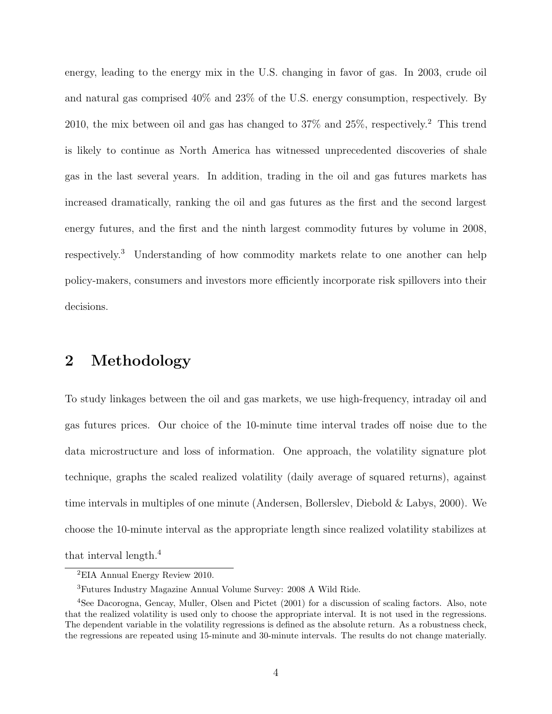energy, leading to the energy mix in the U.S. changing in favor of gas. In 2003, crude oil and natural gas comprised 40% and 23% of the U.S. energy consumption, respectively. By 2010, the mix between oil and gas has changed to  $37\%$  and  $25\%$ , respectively.<sup>2</sup> This trend is likely to continue as North America has witnessed unprecedented discoveries of shale gas in the last several years. In addition, trading in the oil and gas futures markets has increased dramatically, ranking the oil and gas futures as the first and the second largest energy futures, and the first and the ninth largest commodity futures by volume in 2008, respectively.<sup>3</sup> Understanding of how commodity markets relate to one another can help policy-makers, consumers and investors more efficiently incorporate risk spillovers into their decisions.

# 2 Methodology

To study linkages between the oil and gas markets, we use high-frequency, intraday oil and gas futures prices. Our choice of the 10-minute time interval trades off noise due to the data microstructure and loss of information. One approach, the volatility signature plot technique, graphs the scaled realized volatility (daily average of squared returns), against time intervals in multiples of one minute (Andersen, Bollerslev, Diebold & Labys, 2000). We choose the 10-minute interval as the appropriate length since realized volatility stabilizes at that interval length.<sup>4</sup>

<sup>2</sup>EIA Annual Energy Review 2010.

<sup>3</sup>Futures Industry Magazine Annual Volume Survey: 2008 A Wild Ride.

<sup>4</sup>See Dacorogna, Gencay, Muller, Olsen and Pictet (2001) for a discussion of scaling factors. Also, note that the realized volatility is used only to choose the appropriate interval. It is not used in the regressions. The dependent variable in the volatility regressions is defined as the absolute return. As a robustness check, the regressions are repeated using 15-minute and 30-minute intervals. The results do not change materially.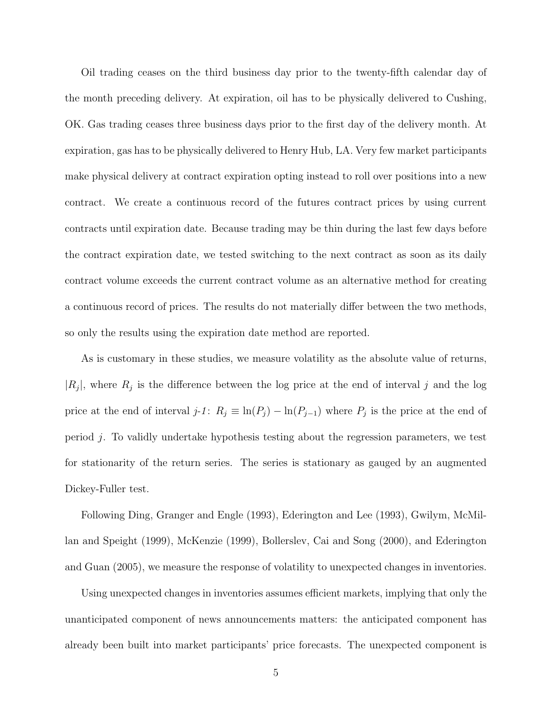Oil trading ceases on the third business day prior to the twenty-fifth calendar day of the month preceding delivery. At expiration, oil has to be physically delivered to Cushing, OK. Gas trading ceases three business days prior to the first day of the delivery month. At expiration, gas has to be physically delivered to Henry Hub, LA. Very few market participants make physical delivery at contract expiration opting instead to roll over positions into a new contract. We create a continuous record of the futures contract prices by using current contracts until expiration date. Because trading may be thin during the last few days before the contract expiration date, we tested switching to the next contract as soon as its daily contract volume exceeds the current contract volume as an alternative method for creating a continuous record of prices. The results do not materially differ between the two methods, so only the results using the expiration date method are reported.

As is customary in these studies, we measure volatility as the absolute value of returns,  $|R_j|$ , where  $R_j$  is the difference between the log price at the end of interval j and the log price at the end of interval  $j$ -1:  $R_j \equiv \ln(P_j) - \ln(P_{j-1})$  where  $P_j$  is the price at the end of period j. To validly undertake hypothesis testing about the regression parameters, we test for stationarity of the return series. The series is stationary as gauged by an augmented Dickey-Fuller test.

Following Ding, Granger and Engle (1993), Ederington and Lee (1993), Gwilym, McMillan and Speight (1999), McKenzie (1999), Bollerslev, Cai and Song (2000), and Ederington and Guan (2005), we measure the response of volatility to unexpected changes in inventories.

Using unexpected changes in inventories assumes efficient markets, implying that only the unanticipated component of news announcements matters: the anticipated component has already been built into market participants' price forecasts. The unexpected component is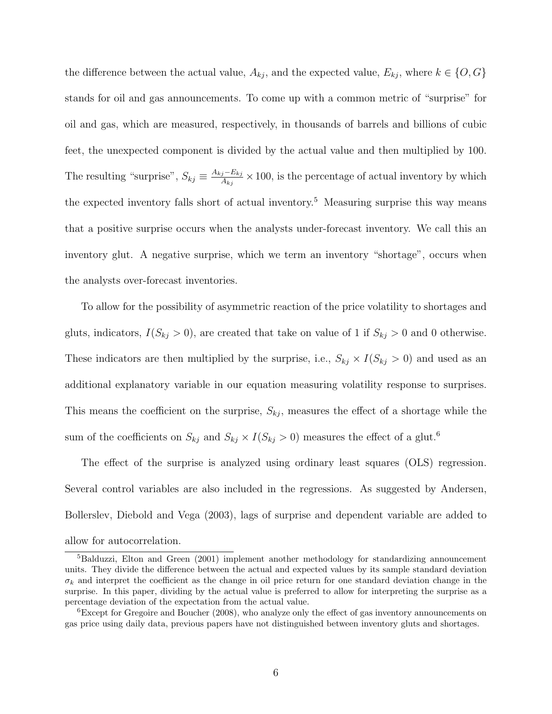the difference between the actual value,  $A_{kj}$ , and the expected value,  $E_{kj}$ , where  $k \in \{O, G\}$ stands for oil and gas announcements. To come up with a common metric of "surprise" for oil and gas, which are measured, respectively, in thousands of barrels and billions of cubic feet, the unexpected component is divided by the actual value and then multiplied by 100. The resulting "surprise",  $S_{kj} \equiv \frac{A_{kj}-E_{kj}}{A_{ki}}$  $\frac{j - E_{kj}}{A_{kj}} \times 100$ , is the percentage of actual inventory by which the expected inventory falls short of actual inventory.<sup>5</sup> Measuring surprise this way means that a positive surprise occurs when the analysts under-forecast inventory. We call this an inventory glut. A negative surprise, which we term an inventory "shortage", occurs when the analysts over-forecast inventories.

To allow for the possibility of asymmetric reaction of the price volatility to shortages and gluts, indicators,  $I(S_{kj} > 0)$ , are created that take on value of 1 if  $S_{kj} > 0$  and 0 otherwise. These indicators are then multiplied by the surprise, i.e.,  $S_{kj} \times I(S_{kj} > 0)$  and used as an additional explanatory variable in our equation measuring volatility response to surprises. This means the coefficient on the surprise,  $S_{kj}$ , measures the effect of a shortage while the sum of the coefficients on  $S_{kj}$  and  $S_{kj} \times I(S_{kj} > 0)$  measures the effect of a glut.<sup>6</sup>

The effect of the surprise is analyzed using ordinary least squares (OLS) regression. Several control variables are also included in the regressions. As suggested by Andersen, Bollerslev, Diebold and Vega (2003), lags of surprise and dependent variable are added to allow for autocorrelation.

<sup>&</sup>lt;sup>5</sup>Balduzzi, Elton and Green (2001) implement another methodology for standardizing announcement units. They divide the difference between the actual and expected values by its sample standard deviation  $\sigma_k$  and interpret the coefficient as the change in oil price return for one standard deviation change in the surprise. In this paper, dividing by the actual value is preferred to allow for interpreting the surprise as a percentage deviation of the expectation from the actual value.

<sup>&</sup>lt;sup>6</sup>Except for Gregoire and Boucher (2008), who analyze only the effect of gas inventory announcements on gas price using daily data, previous papers have not distinguished between inventory gluts and shortages.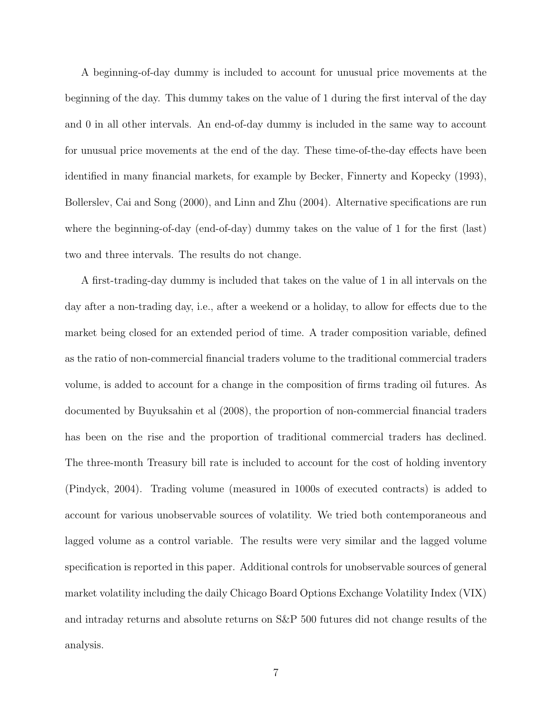A beginning-of-day dummy is included to account for unusual price movements at the beginning of the day. This dummy takes on the value of 1 during the first interval of the day and 0 in all other intervals. An end-of-day dummy is included in the same way to account for unusual price movements at the end of the day. These time-of-the-day effects have been identified in many financial markets, for example by Becker, Finnerty and Kopecky (1993), Bollerslev, Cai and Song (2000), and Linn and Zhu (2004). Alternative specifications are run where the beginning-of-day (end-of-day) dummy takes on the value of 1 for the first (last) two and three intervals. The results do not change.

A first-trading-day dummy is included that takes on the value of 1 in all intervals on the day after a non-trading day, i.e., after a weekend or a holiday, to allow for effects due to the market being closed for an extended period of time. A trader composition variable, defined as the ratio of non-commercial financial traders volume to the traditional commercial traders volume, is added to account for a change in the composition of firms trading oil futures. As documented by Buyuksahin et al (2008), the proportion of non-commercial financial traders has been on the rise and the proportion of traditional commercial traders has declined. The three-month Treasury bill rate is included to account for the cost of holding inventory (Pindyck, 2004). Trading volume (measured in 1000s of executed contracts) is added to account for various unobservable sources of volatility. We tried both contemporaneous and lagged volume as a control variable. The results were very similar and the lagged volume specification is reported in this paper. Additional controls for unobservable sources of general market volatility including the daily Chicago Board Options Exchange Volatility Index (VIX) and intraday returns and absolute returns on S&P 500 futures did not change results of the analysis.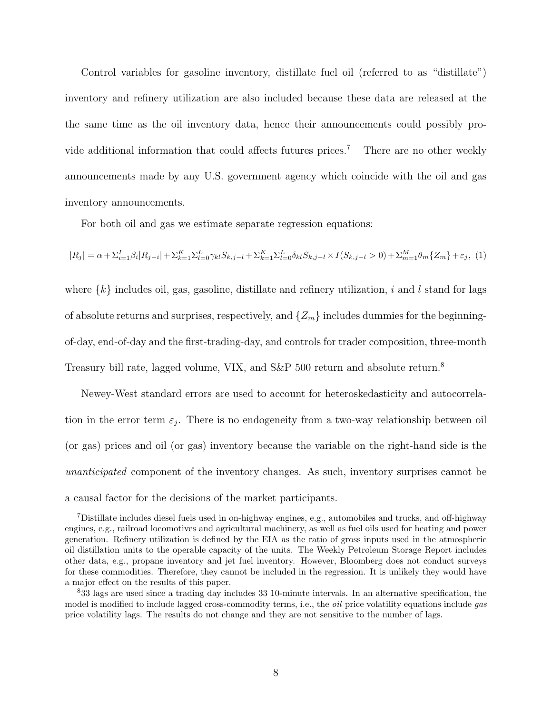Control variables for gasoline inventory, distillate fuel oil (referred to as "distillate") inventory and refinery utilization are also included because these data are released at the the same time as the oil inventory data, hence their announcements could possibly provide additional information that could affects futures prices.<sup>7</sup> There are no other weekly announcements made by any U.S. government agency which coincide with the oil and gas inventory announcements.

For both oil and gas we estimate separate regression equations:

$$
|R_j| = \alpha + \sum_{i=1}^{I} \beta_i |R_{j-i}| + \sum_{k=1}^{K} \sum_{l=0}^{L} \gamma_{kl} S_{k,j-l} + \sum_{k=1}^{K} \sum_{l=0}^{L} \delta_{kl} S_{k,j-l} \times I(S_{k,j-l} > 0) + \sum_{m=1}^{M} \theta_m \{Z_m\} + \varepsilon_j
$$
 (1)

where  $\{k\}$  includes oil, gas, gasoline, distillate and refinery utilization, i and l stand for lags of absolute returns and surprises, respectively, and  $\{Z_m\}$  includes dummies for the beginningof-day, end-of-day and the first-trading-day, and controls for trader composition, three-month Treasury bill rate, lagged volume, VIX, and S&P 500 return and absolute return.<sup>8</sup>

Newey-West standard errors are used to account for heteroskedasticity and autocorrelation in the error term  $\varepsilon_j$ . There is no endogeneity from a two-way relationship between oil (or gas) prices and oil (or gas) inventory because the variable on the right-hand side is the unanticipated component of the inventory changes. As such, inventory surprises cannot be a causal factor for the decisions of the market participants.

<sup>7</sup>Distillate includes diesel fuels used in on-highway engines, e.g., automobiles and trucks, and off-highway engines, e.g., railroad locomotives and agricultural machinery, as well as fuel oils used for heating and power generation. Refinery utilization is defined by the EIA as the ratio of gross inputs used in the atmospheric oil distillation units to the operable capacity of the units. The Weekly Petroleum Storage Report includes other data, e.g., propane inventory and jet fuel inventory. However, Bloomberg does not conduct surveys for these commodities. Therefore, they cannot be included in the regression. It is unlikely they would have a major effect on the results of this paper.

<sup>8</sup>33 lags are used since a trading day includes 33 10-minute intervals. In an alternative specification, the model is modified to include lagged cross-commodity terms, i.e., the *oil* price volatility equations include gas price volatility lags. The results do not change and they are not sensitive to the number of lags.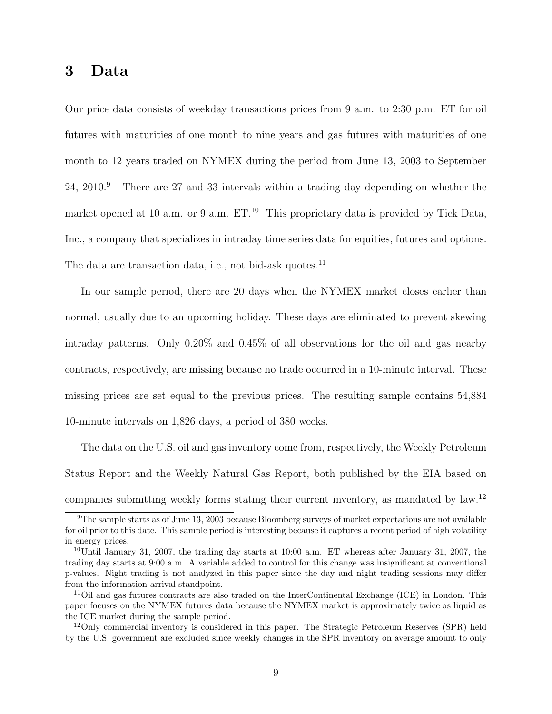# 3 Data

Our price data consists of weekday transactions prices from 9 a.m. to 2:30 p.m. ET for oil futures with maturities of one month to nine years and gas futures with maturities of one month to 12 years traded on NYMEX during the period from June 13, 2003 to September 24, 2010.<sup>9</sup> There are 27 and 33 intervals within a trading day depending on whether the market opened at 10 a.m. or 9 a.m.  $ET<sup>10</sup>$ . This proprietary data is provided by Tick Data, Inc., a company that specializes in intraday time series data for equities, futures and options. The data are transaction data, i.e., not bid-ask quotes.<sup>11</sup>

In our sample period, there are 20 days when the NYMEX market closes earlier than normal, usually due to an upcoming holiday. These days are eliminated to prevent skewing intraday patterns. Only 0.20% and 0.45% of all observations for the oil and gas nearby contracts, respectively, are missing because no trade occurred in a 10-minute interval. These missing prices are set equal to the previous prices. The resulting sample contains 54,884 10-minute intervals on 1,826 days, a period of 380 weeks.

The data on the U.S. oil and gas inventory come from, respectively, the Weekly Petroleum Status Report and the Weekly Natural Gas Report, both published by the EIA based on companies submitting weekly forms stating their current inventory, as mandated by law.<sup>12</sup>

<sup>&</sup>lt;sup>9</sup>The sample starts as of June 13, 2003 because Bloomberg surveys of market expectations are not available for oil prior to this date. This sample period is interesting because it captures a recent period of high volatility in energy prices.

 $10$ Until January 31, 2007, the trading day starts at 10:00 a.m. ET whereas after January 31, 2007, the trading day starts at 9:00 a.m. A variable added to control for this change was insignificant at conventional p-values. Night trading is not analyzed in this paper since the day and night trading sessions may differ from the information arrival standpoint.

<sup>&</sup>lt;sup>11</sup>Oil and gas futures contracts are also traded on the InterContinental Exchange (ICE) in London. This paper focuses on the NYMEX futures data because the NYMEX market is approximately twice as liquid as the ICE market during the sample period.

<sup>&</sup>lt;sup>12</sup>Only commercial inventory is considered in this paper. The Strategic Petroleum Reserves (SPR) held by the U.S. government are excluded since weekly changes in the SPR inventory on average amount to only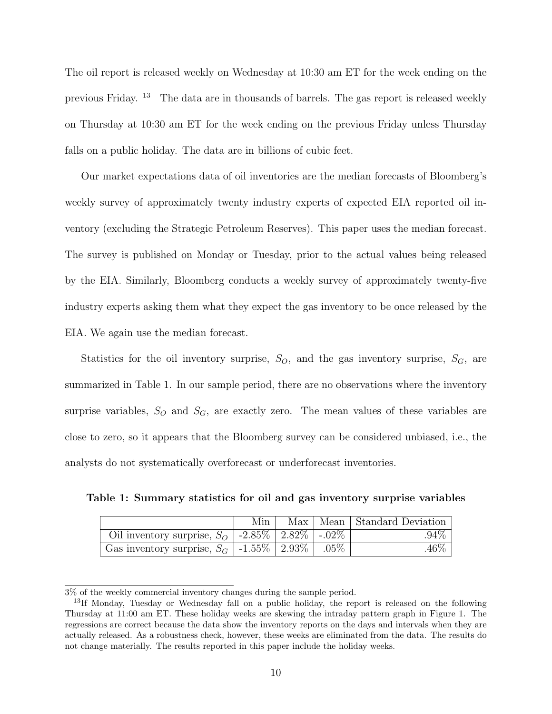The oil report is released weekly on Wednesday at 10:30 am ET for the week ending on the previous Friday. <sup>13</sup> The data are in thousands of barrels. The gas report is released weekly on Thursday at 10:30 am ET for the week ending on the previous Friday unless Thursday falls on a public holiday. The data are in billions of cubic feet.

Our market expectations data of oil inventories are the median forecasts of Bloomberg's weekly survey of approximately twenty industry experts of expected EIA reported oil inventory (excluding the Strategic Petroleum Reserves). This paper uses the median forecast. The survey is published on Monday or Tuesday, prior to the actual values being released by the EIA. Similarly, Bloomberg conducts a weekly survey of approximately twenty-five industry experts asking them what they expect the gas inventory to be once released by the EIA. We again use the median forecast.

Statistics for the oil inventory surprise,  $S_O$ , and the gas inventory surprise,  $S_G$ , are summarized in Table 1. In our sample period, there are no observations where the inventory surprise variables,  $S_O$  and  $S_G$ , are exactly zero. The mean values of these variables are close to zero, so it appears that the Bloomberg survey can be considered unbiased, i.e., the analysts do not systematically overforecast or underforecast inventories.

Table 1: Summary statistics for oil and gas inventory surprise variables

|                                                                        | Min |  | Max   Mean   Standard Deviation |
|------------------------------------------------------------------------|-----|--|---------------------------------|
| Oil inventory surprise, $S_O$   -2.85%   2.82%   - $.02\%$             |     |  | $.94\%$                         |
| Gas inventory surprise, $S_G$   -1.55%   $2.\overline{93\%}$   $.05\%$ |     |  | $.46\%$                         |

<sup>3%</sup> of the weekly commercial inventory changes during the sample period.

<sup>&</sup>lt;sup>13</sup>If Monday, Tuesday or Wednesday fall on a public holiday, the report is released on the following Thursday at 11:00 am ET. These holiday weeks are skewing the intraday pattern graph in Figure 1. The regressions are correct because the data show the inventory reports on the days and intervals when they are actually released. As a robustness check, however, these weeks are eliminated from the data. The results do not change materially. The results reported in this paper include the holiday weeks.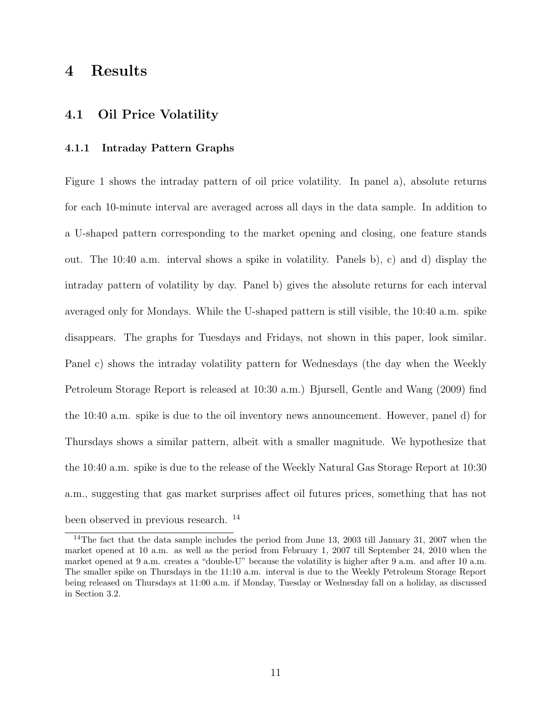# 4 Results

### 4.1 Oil Price Volatility

### 4.1.1 Intraday Pattern Graphs

Figure 1 shows the intraday pattern of oil price volatility. In panel a), absolute returns for each 10-minute interval are averaged across all days in the data sample. In addition to a U-shaped pattern corresponding to the market opening and closing, one feature stands out. The 10:40 a.m. interval shows a spike in volatility. Panels b), c) and d) display the intraday pattern of volatility by day. Panel b) gives the absolute returns for each interval averaged only for Mondays. While the U-shaped pattern is still visible, the 10:40 a.m. spike disappears. The graphs for Tuesdays and Fridays, not shown in this paper, look similar. Panel c) shows the intraday volatility pattern for Wednesdays (the day when the Weekly Petroleum Storage Report is released at 10:30 a.m.) Bjursell, Gentle and Wang (2009) find the 10:40 a.m. spike is due to the oil inventory news announcement. However, panel d) for Thursdays shows a similar pattern, albeit with a smaller magnitude. We hypothesize that the 10:40 a.m. spike is due to the release of the Weekly Natural Gas Storage Report at 10:30 a.m., suggesting that gas market surprises affect oil futures prices, something that has not been observed in previous research. <sup>14</sup>

<sup>&</sup>lt;sup>14</sup>The fact that the data sample includes the period from June 13, 2003 till January 31, 2007 when the market opened at 10 a.m. as well as the period from February 1, 2007 till September 24, 2010 when the market opened at 9 a.m. creates a "double-U" because the volatility is higher after 9 a.m. and after 10 a.m. The smaller spike on Thursdays in the 11:10 a.m. interval is due to the Weekly Petroleum Storage Report being released on Thursdays at 11:00 a.m. if Monday, Tuesday or Wednesday fall on a holiday, as discussed in Section 3.2.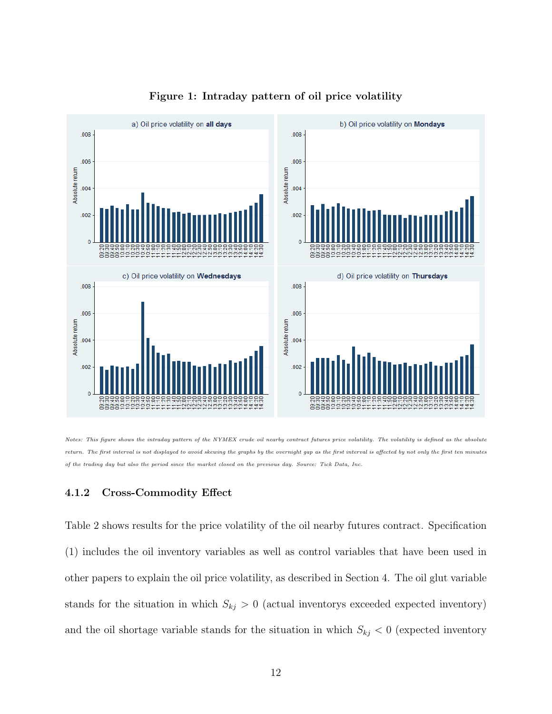

### Figure 1: Intraday pattern of oil price volatility

Notes: This figure shows the intraday pattern of the NYMEX crude oil nearby contract futures price volatility. The volatility is defined as the absolute return. The first interval is not displayed to avoid skewing the graphs by the overnight gap as the first interval is affected by not only the first ten minutes of the trading day but also the period since the market closed on the previous day. Source: Tick Data, Inc.

#### 4.1.2 Cross-Commodity Effect

Table 2 shows results for the price volatility of the oil nearby futures contract. Specification (1) includes the oil inventory variables as well as control variables that have been used in other papers to explain the oil price volatility, as described in Section 4. The oil glut variable stands for the situation in which  $S_{kj} > 0$  (actual inventorys exceeded expected inventory) and the oil shortage variable stands for the situation in which  $S_{kj} < 0$  (expected inventory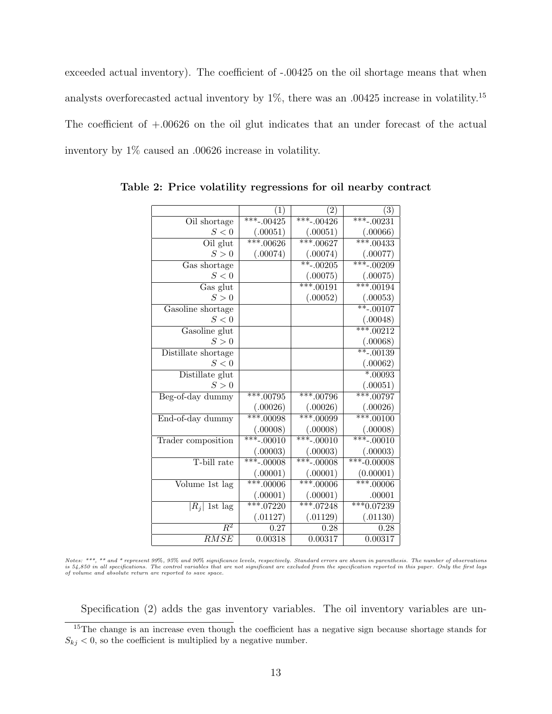exceeded actual inventory). The coefficient of -.00425 on the oil shortage means that when analysts overforecasted actual inventory by  $1\%$ , there was an .00425 increase in volatility.<sup>15</sup> The coefficient of  $+.00626$  on the oil glut indicates that an under forecast of the actual inventory by 1% caused an .00626 increase in volatility.

|                                  | $\left( 1\right)$      | $\left( 2\right)$ | $\left( 3\right)$      |
|----------------------------------|------------------------|-------------------|------------------------|
| Oil shortage                     | $***-0.0425$           | ***-.00426        | ***-.00231             |
| $S<0$                            | (.00051)               | (.00051)          | (.00066)               |
| $\overline{Oil}$ glut            | $***.00626$            | $***.00627$       | $***.00433$            |
| S>0                              | (.00074)               | (.00074)          | (.00077)               |
| $\overline{\text{Gas}}$ shortage |                        | $*$ $-.00205$     | $***-0.00209$          |
| S<0                              |                        | (.00075)          | (.00075)               |
| Gas glut                         |                        | $***.00191$       | $***.00194$            |
| S > 0                            |                        | (.00052)          | (.00053)               |
| Gasoline shortage                |                        |                   | $***-0.0107$           |
| S<0                              |                        |                   | (.00048)               |
| Gasoline glut                    |                        |                   | $***.00212$            |
| S > 0                            |                        |                   | (.00068)               |
| Distillate shortage              |                        |                   | $***-00139$            |
| S<0                              |                        |                   | (.00062)               |
| Distillate glut                  |                        |                   | $*00093$               |
| S>0                              |                        |                   | (.00051)               |
| Beg-of-day dummy                 | $***.00795$            | ***.00796         | $***.00797$            |
|                                  | (.00026)               | (.00026)          | (.00026)               |
| End-of-day dummy                 | $***.00098$            | $***.00099$       | $***.00100$            |
|                                  | (.00008)               | (.00008)          | (.00008)               |
| Trader composition               | ***-.00010             | $***-.00010$      | *** <sub>-.00010</sub> |
|                                  | (.00003)               | (.00003)          | (.00003)               |
| T-bill rate                      | *** <sub>-.00008</sub> | $***-.00008$      | $***-0.00008$          |
|                                  | (.00001)               | (.00001)          | (0.00001)              |
| Volume 1st lag                   | $***.00006$            | $***.00006$       | $***.00006$            |
|                                  | (.00001)               | (.00001)          | .00001                 |
| $ \overline{R}_i $ 1st lag       | $***.07220$            | $***.07248$       | $* * * 0.07239$        |
|                                  | (.01127)               | (.01129)          | (.01130)               |
| $\overline{R^2}$                 | 0.27                   | 0.28              | 0.28                   |
| RMSE                             | 0.00318                | 0.00317           | 0.00317                |

Table 2: Price volatility regressions for oil nearby contract

Notes: \*\*\*, \*\* and \* represent 99%, 95% and 90% significance levels, respectively. Standard errors are shown in parenthesis. The number of observations<br>is 54,850 in all specifications. The control variables that are not si

Specification (2) adds the gas inventory variables. The oil inventory variables are un-

<sup>&</sup>lt;sup>15</sup>The change is an increase even though the coefficient has a negative sign because shortage stands for  $S_{ki}$  < 0, so the coefficient is multiplied by a negative number.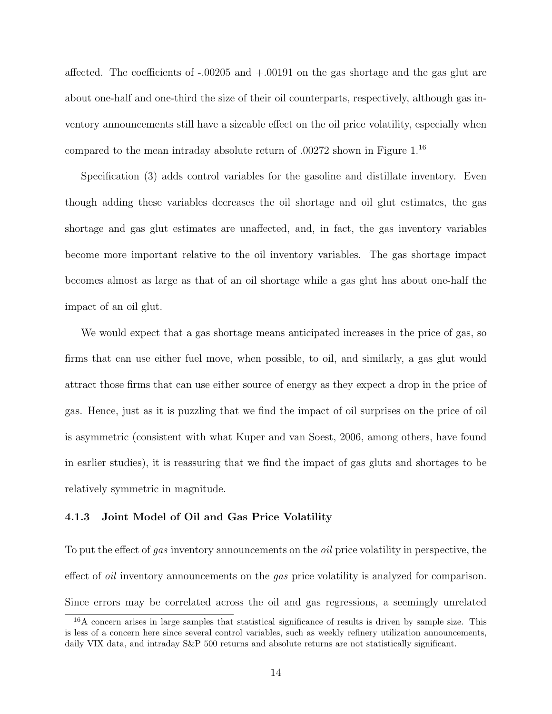affected. The coefficients of -.00205 and +.00191 on the gas shortage and the gas glut are about one-half and one-third the size of their oil counterparts, respectively, although gas inventory announcements still have a sizeable effect on the oil price volatility, especially when compared to the mean intraday absolute return of .00272 shown in Figure 1.<sup>16</sup>

Specification (3) adds control variables for the gasoline and distillate inventory. Even though adding these variables decreases the oil shortage and oil glut estimates, the gas shortage and gas glut estimates are unaffected, and, in fact, the gas inventory variables become more important relative to the oil inventory variables. The gas shortage impact becomes almost as large as that of an oil shortage while a gas glut has about one-half the impact of an oil glut.

We would expect that a gas shortage means anticipated increases in the price of gas, so firms that can use either fuel move, when possible, to oil, and similarly, a gas glut would attract those firms that can use either source of energy as they expect a drop in the price of gas. Hence, just as it is puzzling that we find the impact of oil surprises on the price of oil is asymmetric (consistent with what Kuper and van Soest, 2006, among others, have found in earlier studies), it is reassuring that we find the impact of gas gluts and shortages to be relatively symmetric in magnitude.

#### 4.1.3 Joint Model of Oil and Gas Price Volatility

To put the effect of gas inventory announcements on the *oil* price volatility in perspective, the effect of *oil* inventory announcements on the *gas* price volatility is analyzed for comparison. Since errors may be correlated across the oil and gas regressions, a seemingly unrelated

<sup>&</sup>lt;sup>16</sup>A concern arises in large samples that statistical significance of results is driven by sample size. This is less of a concern here since several control variables, such as weekly refinery utilization announcements, daily VIX data, and intraday S&P 500 returns and absolute returns are not statistically significant.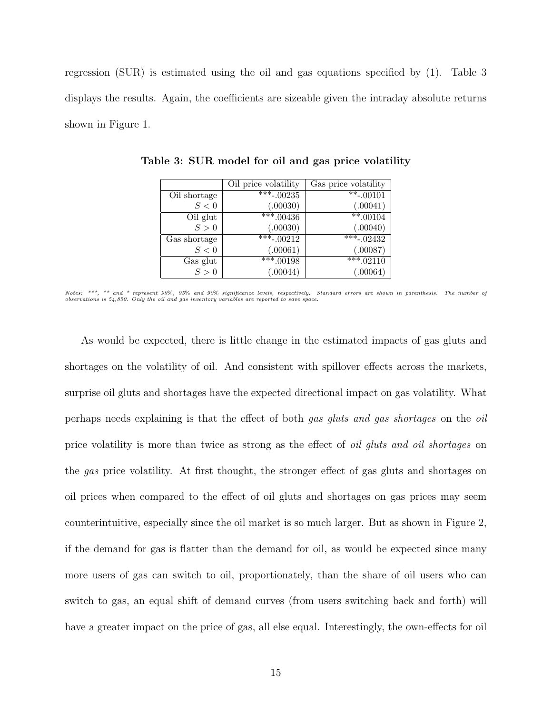regression (SUR) is estimated using the oil and gas equations specified by (1). Table 3 displays the results. Again, the coefficients are sizeable given the intraday absolute returns shown in Figure 1.

|              | Oil price volatility | Gas price volatility |
|--------------|----------------------|----------------------|
| Oil shortage | $***-00235$          | $***-00101$          |
| S<0          | (.00030)             | (.00041)             |
| Oil glut     | $***.00436$          | $***.00104$          |
| S>0          | (.00030)             | (.00040)             |
| Gas shortage | $\sqrt{***00212}$    | $***-02432$          |
| S<0          | (.00061)             | (.00087)             |
| Gas glut     | $***.00198$          | $\sqrt{***.02110}$   |
| S>0          | (.00044)             | (.00064)             |

Table 3: SUR model for oil and gas price volatility

Notes: \*\*\*, \*\* and \* represent 99%, 95% and 90% significance levels, respectively. Standard errors are shown in parenthesis. The number of observations is 54,850. Only the oil and gas inventory variables are reported to save space.

As would be expected, there is little change in the estimated impacts of gas gluts and shortages on the volatility of oil. And consistent with spillover effects across the markets, surprise oil gluts and shortages have the expected directional impact on gas volatility. What perhaps needs explaining is that the effect of both gas gluts and gas shortages on the oil price volatility is more than twice as strong as the effect of oil gluts and oil shortages on the gas price volatility. At first thought, the stronger effect of gas gluts and shortages on oil prices when compared to the effect of oil gluts and shortages on gas prices may seem counterintuitive, especially since the oil market is so much larger. But as shown in Figure 2, if the demand for gas is flatter than the demand for oil, as would be expected since many more users of gas can switch to oil, proportionately, than the share of oil users who can switch to gas, an equal shift of demand curves (from users switching back and forth) will have a greater impact on the price of gas, all else equal. Interestingly, the own-effects for oil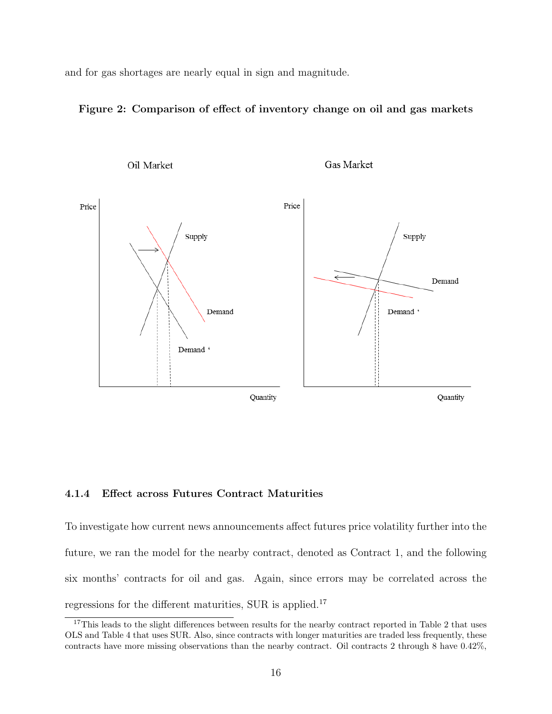and for gas shortages are nearly equal in sign and magnitude.

### Figure 2: Comparison of effect of inventory change on oil and gas markets



### 4.1.4 Effect across Futures Contract Maturities

To investigate how current news announcements affect futures price volatility further into the future, we ran the model for the nearby contract, denoted as Contract 1, and the following six months' contracts for oil and gas. Again, since errors may be correlated across the regressions for the different maturities, SUR is applied.<sup>17</sup>

<sup>&</sup>lt;sup>17</sup>This leads to the slight differences between results for the nearby contract reported in Table 2 that uses OLS and Table 4 that uses SUR. Also, since contracts with longer maturities are traded less frequently, these contracts have more missing observations than the nearby contract. Oil contracts 2 through 8 have 0.42%,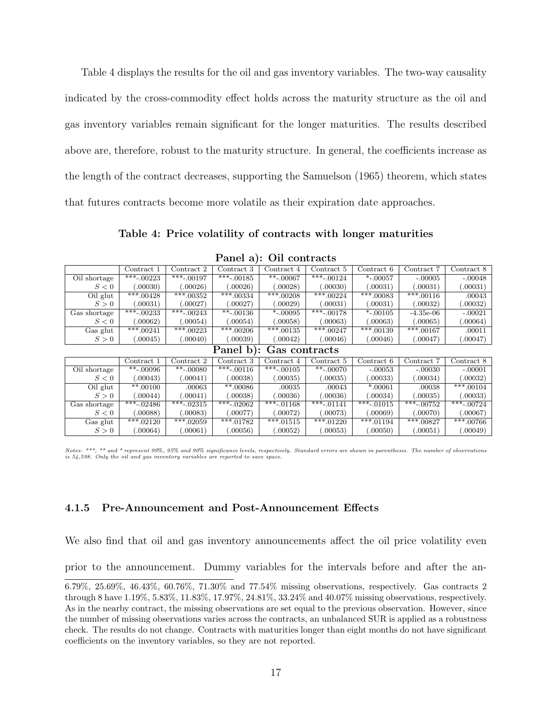Table 4 displays the results for the oil and gas inventory variables. The two-way causality indicated by the cross-commodity effect holds across the maturity structure as the oil and gas inventory variables remain significant for the longer maturities. The results described above are, therefore, robust to the maturity structure. In general, the coefficients increase as the length of the contract decreases, supporting the Samuelson (1965) theorem, which states that futures contracts become more volatile as their expiration date approaches.

Table 4: Price volatility of contracts with longer maturities

|                         | $\rm Contract~1$ | Contract 2   | Contract 3   | Contract 4   | Contract 5   | Contract 6   | Contract 7   | Contract 8              |
|-------------------------|------------------|--------------|--------------|--------------|--------------|--------------|--------------|-------------------------|
| Oil shortage            | $***-00223$      | $**$ .00197  | $**$ .00185  | $**$ -.00067 | $**$ -.00124 | $*$ -.00057  | $-.00005$    | $-.00048$               |
| S<0                     | (.00030)         | (.00026)     | (.00026)     | (.00028)     | (.00030)     | (.00031)     | (.00031)     | (.00031)                |
| Oil glut                | $**$ *.00428     | $***.00352$  | $***.00334$  | $***.00208$  | $***.00224$  | $***.00083$  | $***.00116$  | .00043                  |
| S>0                     | .00031)          | .00027)      | .00027)      | .00029)      | 00031        | (.00031)     | .00032)      | 00032)                  |
| Gas shortage            | $**$ .00233      | $**$ .00243  | $**$ -.00136 | $*$ -.00095  | $**$ -.00178 | $*$ -.00105  | $-4.35e-06$  | $-.00021$               |
| S<0                     | .00062)          | 0.00054      | .00054)      | .00058)      | 00063        | 00063        | .00065)      | .00064)                 |
| Gas glut                | $***.00241$      | $**$ *.00223 | $***.00206$  | $**$ .00135  | $***.00247$  | $**$ *.00139 | $***.00167$  | .00011                  |
| S > 0                   | 00045            | (.00040)     | .00039)      | .00042)      | (.00046)     | (.00046)     | (.00047)     | 00047                   |
| Panel b): Gas contracts |                  |              |              |              |              |              |              |                         |
|                         | $\rm Contract~1$ | Contract 2   | Contract 3   | Contract 4   | Contract 5   | Contract 6   | Contract 7   | Contract 8              |
| Oil shortage            | $***-00096$      | $***-00080$  | $***-00116$  | $***-00105$  | $***-00070$  | $-.00053$    | $-.00030$    | $-.00001$               |
| S<0                     | 00043            | (.00041)     | (.00038)     | (.00035)     | (.00035)     | (.00033)     | 0.00034)     | .00032)                 |
| $\overline{O}$ il glut  | $**.00100$       | .00063       | $**.00086$   | .00035       | .00043       | *.00061      | .00038       | $\overline{***}$ .00104 |
| S > 0                   | (.00044)         | (.00041)     | 00038        | 00036        | (.00036)     | (.00034)     | (.00035)     | 00033                   |
| Gas shortage            | $***-0.2486$     | ***-.02315   | $***-.02062$ | $***-01168$  | ***-.01141   | $***-01015$  | $***-00752$  | $***-00724$             |
| S<0                     | 00088            | (.00083)     | .00077)      | (.00072)     | 00073        | (.00069)     | (.00070)     | .00067)                 |
| Gas glut                | $**$ .02120      | $***.02059$  | $***.01782$  | $**$ .01515  | $***.01220$  | $**$ .01194  | $**$ *.00827 | $**$ * 00766            |
|                         |                  |              |              |              |              |              |              |                         |

Panel a): Oil contracts

Notes: \*\*\*, \*\* and \* represent 99%, 95% and 90% significance levels, respectively. Standard errors are shown in parenthesis. The number of observations is 54,598. Only the oil and gas inventory variables are reported to save space.

#### 4.1.5 Pre-Announcement and Post-Announcement Effects

We also find that oil and gas inventory announcements affect the oil price volatility even

prior to the announcement. Dummy variables for the intervals before and after the an-

<sup>6.79%, 25.69%, 46.43%, 60.76%, 71.30%</sup> and 77.54% missing observations, respectively. Gas contracts 2 through 8 have 1.19%, 5.83%, 11.83%, 17.97%, 24.81%, 33.24% and 40.07% missing observations, respectively. As in the nearby contract, the missing observations are set equal to the previous observation. However, since the number of missing observations varies across the contracts, an unbalanced SUR is applied as a robustness check. The results do not change. Contracts with maturities longer than eight months do not have significant coefficients on the inventory variables, so they are not reported.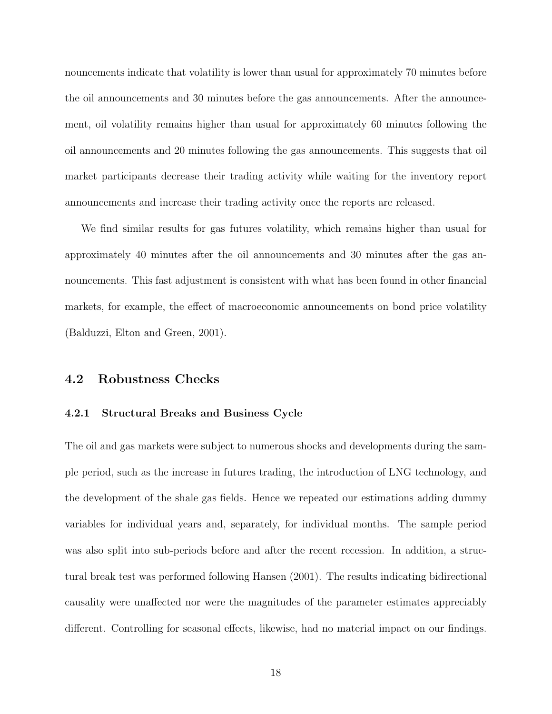nouncements indicate that volatility is lower than usual for approximately 70 minutes before the oil announcements and 30 minutes before the gas announcements. After the announcement, oil volatility remains higher than usual for approximately 60 minutes following the oil announcements and 20 minutes following the gas announcements. This suggests that oil market participants decrease their trading activity while waiting for the inventory report announcements and increase their trading activity once the reports are released.

We find similar results for gas futures volatility, which remains higher than usual for approximately 40 minutes after the oil announcements and 30 minutes after the gas announcements. This fast adjustment is consistent with what has been found in other financial markets, for example, the effect of macroeconomic announcements on bond price volatility (Balduzzi, Elton and Green, 2001).

### 4.2 Robustness Checks

#### 4.2.1 Structural Breaks and Business Cycle

The oil and gas markets were subject to numerous shocks and developments during the sample period, such as the increase in futures trading, the introduction of LNG technology, and the development of the shale gas fields. Hence we repeated our estimations adding dummy variables for individual years and, separately, for individual months. The sample period was also split into sub-periods before and after the recent recession. In addition, a structural break test was performed following Hansen (2001). The results indicating bidirectional causality were unaffected nor were the magnitudes of the parameter estimates appreciably different. Controlling for seasonal effects, likewise, had no material impact on our findings.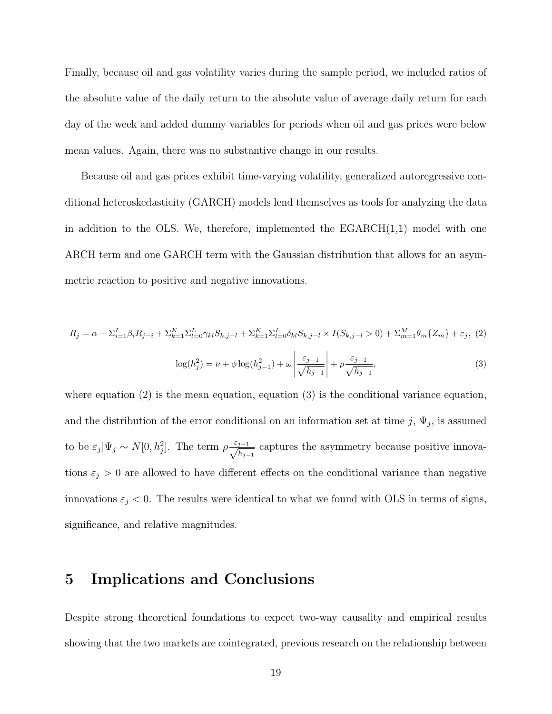Finally, because oil and gas volatility varies during the sample period, we included ratios of the absolute value of the daily return to the absolute value of average daily return for each day of the week and added dummy variables for periods when oil and gas prices were below mean values. Again, there was no substantive change in our results.

Because oil and gas prices exhibit time-varying volatility, generalized autoregressive conditional heteroskedasticity (GARCH) models lend themselves as tools for analyzing the data in addition to the OLS. We, therefore, implemented the  $EGARCH(1,1)$  model with one ARCH term and one GARCH term with the Gaussian distribution that allows for an asymmetric reaction to positive and negative innovations.

$$
R_j = \alpha + \sum_{i=1}^{I} \beta_i R_{j-i} + \sum_{k=1}^{K} \sum_{l=0}^{L} \gamma_{kl} S_{k,j-l} + \sum_{k=1}^{K} \sum_{l=0}^{L} \delta_{kl} S_{k,j-l} \times I(S_{k,j-l} > 0) + \sum_{m=1}^{M} \theta_m \{Z_m\} + \varepsilon_j, (2)
$$

$$
\log(h_j^2) = \nu + \phi \log(h_{j-1}^2) + \omega \left| \frac{\varepsilon_{j-1}}{\sqrt{h_{j-1}}} \right| + \rho \frac{\varepsilon_{j-1}}{\sqrt{h_{j-1}}},\tag{3}
$$

where equation  $(2)$  is the mean equation, equation  $(3)$  is the conditional variance equation, and the distribution of the error conditional on an information set at time  $j$ ,  $\Psi_j$ , is assumed to be  $\varepsilon_j|\Psi_j \sim N[0, h_j^2]$ . The term  $\rho \frac{\varepsilon_{j-1}}{\sqrt{h_{j-1}}}$  captures the asymmetry because positive innovations  $\varepsilon_j > 0$  are allowed to have different effects on the conditional variance than negative innovations  $\varepsilon_j < 0$ . The results were identical to what we found with OLS in terms of signs, significance, and relative magnitudes.

# 5 Implications and Conclusions

Despite strong theoretical foundations to expect two-way causality and empirical results showing that the two markets are cointegrated, previous research on the relationship between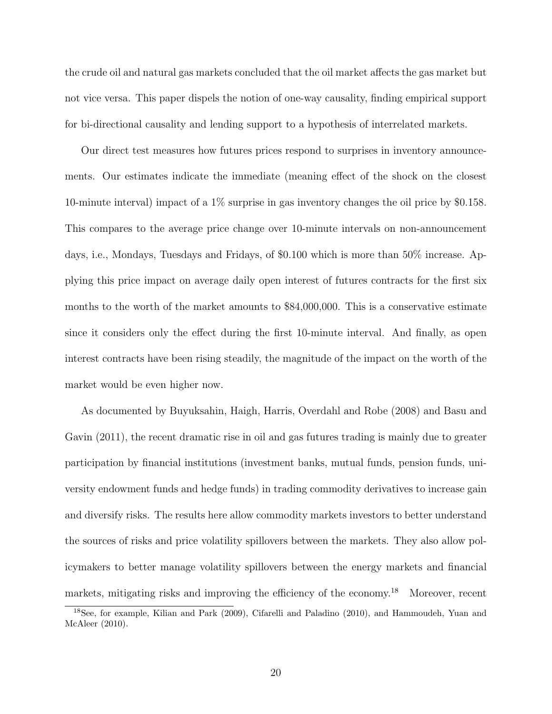the crude oil and natural gas markets concluded that the oil market affects the gas market but not vice versa. This paper dispels the notion of one-way causality, finding empirical support for bi-directional causality and lending support to a hypothesis of interrelated markets.

Our direct test measures how futures prices respond to surprises in inventory announcements. Our estimates indicate the immediate (meaning effect of the shock on the closest 10-minute interval) impact of a 1% surprise in gas inventory changes the oil price by \$0.158. This compares to the average price change over 10-minute intervals on non-announcement days, i.e., Mondays, Tuesdays and Fridays, of \$0.100 which is more than 50% increase. Applying this price impact on average daily open interest of futures contracts for the first six months to the worth of the market amounts to \$84,000,000. This is a conservative estimate since it considers only the effect during the first 10-minute interval. And finally, as open interest contracts have been rising steadily, the magnitude of the impact on the worth of the market would be even higher now.

As documented by Buyuksahin, Haigh, Harris, Overdahl and Robe (2008) and Basu and Gavin (2011), the recent dramatic rise in oil and gas futures trading is mainly due to greater participation by financial institutions (investment banks, mutual funds, pension funds, university endowment funds and hedge funds) in trading commodity derivatives to increase gain and diversify risks. The results here allow commodity markets investors to better understand the sources of risks and price volatility spillovers between the markets. They also allow policymakers to better manage volatility spillovers between the energy markets and financial markets, mitigating risks and improving the efficiency of the economy.<sup>18</sup> Moreover, recent

<sup>18</sup>See, for example, Kilian and Park (2009), Cifarelli and Paladino (2010), and Hammoudeh, Yuan and McAleer (2010).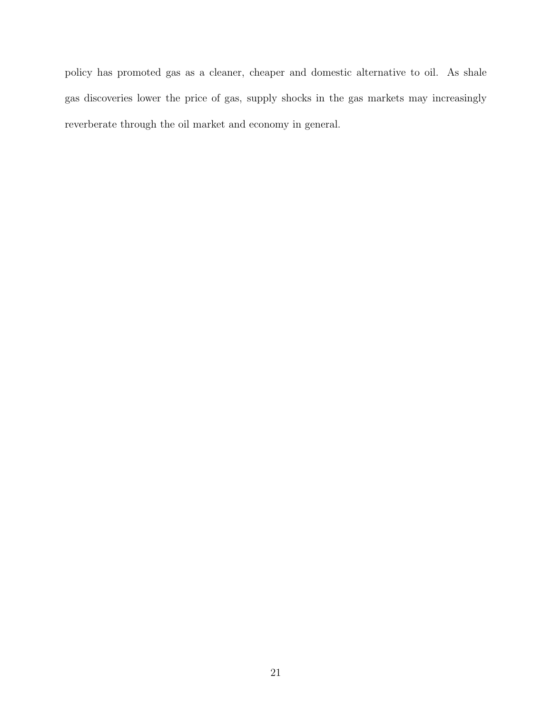policy has promoted gas as a cleaner, cheaper and domestic alternative to oil. As shale gas discoveries lower the price of gas, supply shocks in the gas markets may increasingly reverberate through the oil market and economy in general.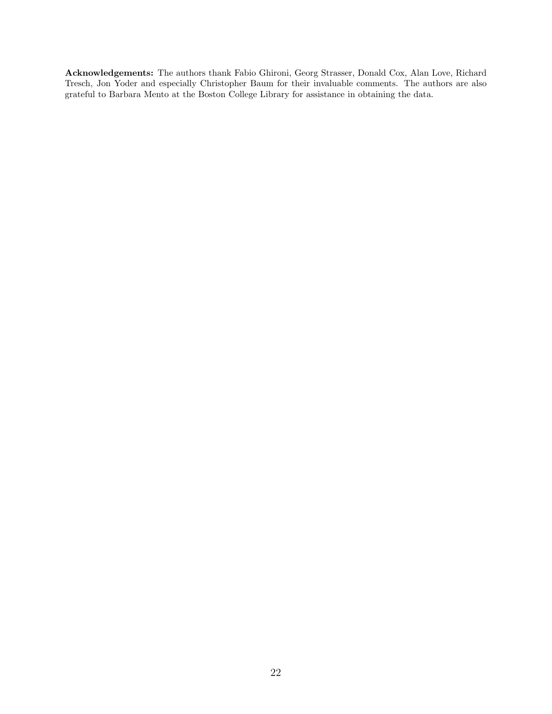Acknowledgements: The authors thank Fabio Ghironi, Georg Strasser, Donald Cox, Alan Love, Richard Tresch, Jon Yoder and especially Christopher Baum for their invaluable comments. The authors are also grateful to Barbara Mento at the Boston College Library for assistance in obtaining the data.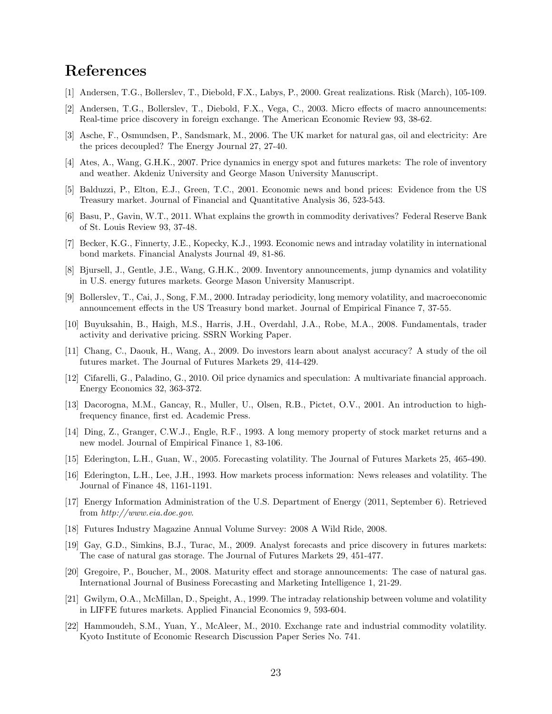# References

- [1] Andersen, T.G., Bollerslev, T., Diebold, F.X., Labys, P., 2000. Great realizations. Risk (March), 105-109.
- [2] Andersen, T.G., Bollerslev, T., Diebold, F.X., Vega, C., 2003. Micro effects of macro announcements: Real-time price discovery in foreign exchange. The American Economic Review 93, 38-62.
- [3] Asche, F., Osmundsen, P., Sandsmark, M., 2006. The UK market for natural gas, oil and electricity: Are the prices decoupled? The Energy Journal 27, 27-40.
- [4] Ates, A., Wang, G.H.K., 2007. Price dynamics in energy spot and futures markets: The role of inventory and weather. Akdeniz University and George Mason University Manuscript.
- [5] Balduzzi, P., Elton, E.J., Green, T.C., 2001. Economic news and bond prices: Evidence from the US Treasury market. Journal of Financial and Quantitative Analysis 36, 523-543.
- [6] Basu, P., Gavin, W.T., 2011. What explains the growth in commodity derivatives? Federal Reserve Bank of St. Louis Review 93, 37-48.
- [7] Becker, K.G., Finnerty, J.E., Kopecky, K.J., 1993. Economic news and intraday volatility in international bond markets. Financial Analysts Journal 49, 81-86.
- [8] Bjursell, J., Gentle, J.E., Wang, G.H.K., 2009. Inventory announcements, jump dynamics and volatility in U.S. energy futures markets. George Mason University Manuscript.
- [9] Bollerslev, T., Cai, J., Song, F.M., 2000. Intraday periodicity, long memory volatility, and macroeconomic announcement effects in the US Treasury bond market. Journal of Empirical Finance 7, 37-55.
- [10] Buyuksahin, B., Haigh, M.S., Harris, J.H., Overdahl, J.A., Robe, M.A., 2008. Fundamentals, trader activity and derivative pricing. SSRN Working Paper.
- [11] Chang, C., Daouk, H., Wang, A., 2009. Do investors learn about analyst accuracy? A study of the oil futures market. The Journal of Futures Markets 29, 414-429.
- [12] Cifarelli, G., Paladino, G., 2010. Oil price dynamics and speculation: A multivariate financial approach. Energy Economics 32, 363-372.
- [13] Dacorogna, M.M., Gancay, R., Muller, U., Olsen, R.B., Pictet, O.V., 2001. An introduction to highfrequency finance, first ed. Academic Press.
- [14] Ding, Z., Granger, C.W.J., Engle, R.F., 1993. A long memory property of stock market returns and a new model. Journal of Empirical Finance 1, 83-106.
- [15] Ederington, L.H., Guan, W., 2005. Forecasting volatility. The Journal of Futures Markets 25, 465-490.
- [16] Ederington, L.H., Lee, J.H., 1993. How markets process information: News releases and volatility. The Journal of Finance 48, 1161-1191.
- [17] Energy Information Administration of the U.S. Department of Energy (2011, September 6). Retrieved from http://www.eia.doe.gov.
- [18] Futures Industry Magazine Annual Volume Survey: 2008 A Wild Ride, 2008.
- [19] Gay, G.D., Simkins, B.J., Turac, M., 2009. Analyst forecasts and price discovery in futures markets: The case of natural gas storage. The Journal of Futures Markets 29, 451-477.
- [20] Gregoire, P., Boucher, M., 2008. Maturity effect and storage announcements: The case of natural gas. International Journal of Business Forecasting and Marketing Intelligence 1, 21-29.
- [21] Gwilym, O.A., McMillan, D., Speight, A., 1999. The intraday relationship between volume and volatility in LIFFE futures markets. Applied Financial Economics 9, 593-604.
- [22] Hammoudeh, S.M., Yuan, Y., McAleer, M., 2010. Exchange rate and industrial commodity volatility. Kyoto Institute of Economic Research Discussion Paper Series No. 741.